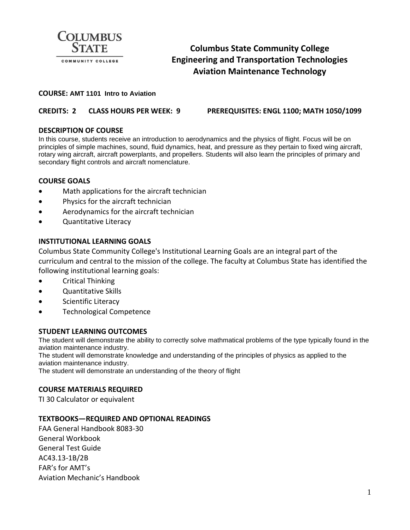

# **Columbus State Community College Engineering and Transportation Technologies Aviation Maintenance Technology**

#### **COURSE: AMT 1101 Intro to Aviation**

**CREDITS: 2 CLASS HOURS PER WEEK: 9 PREREQUISITES: ENGL 1100; MATH 1050/1099**

### **DESCRIPTION OF COURSE**

In this course, students receive an introduction to aerodynamics and the physics of flight. Focus will be on principles of simple machines, sound, fluid dynamics, heat, and pressure as they pertain to fixed wing aircraft, rotary wing aircraft, aircraft powerplants, and propellers. Students will also learn the principles of primary and secondary flight controls and aircraft nomenclature.

### **COURSE GOALS**

- Math applications for the aircraft technician
- Physics for the aircraft technician
- Aerodynamics for the aircraft technician
- Quantitative Literacy

#### **INSTITUTIONAL LEARNING GOALS**

Columbus State Community College's Institutional Learning Goals are an integral part of the curriculum and central to the mission of the college. The faculty at Columbus State has identified the following institutional learning goals:

- Critical Thinking
- Quantitative Skills
- Scientific Literacy
- Technological Competence

#### **STUDENT LEARNING OUTCOMES**

The student will demonstrate the ability to correctly solve mathmatical problems of the type typically found in the aviation maintenance industry.

The student will demonstrate knowledge and understanding of the principles of physics as applied to the aviation maintenance industry.

The student will demonstrate an understanding of the theory of flight

#### **COURSE MATERIALS REQUIRED**

TI 30 Calculator or equivalent

#### **TEXTBOOKS—REQUIRED AND OPTIONAL READINGS**

FAA General Handbook 8083-30 General Workbook General Test Guide AC43.13-1B/2B FAR's for AMT's Aviation Mechanic's Handbook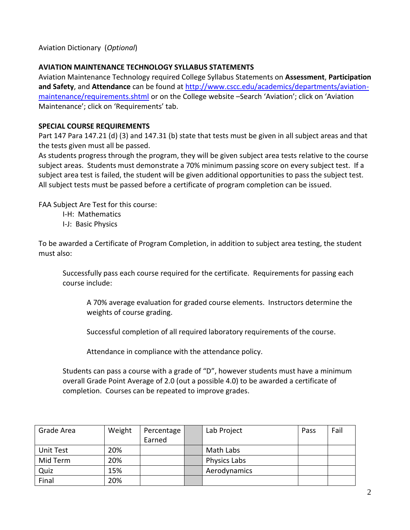Aviation Dictionary (*Optional*)

# **AVIATION MAINTENANCE TECHNOLOGY SYLLABUS STATEMENTS**

Aviation Maintenance Technology required College Syllabus Statements on **Assessment**, **Participation and Safety**, and **Attendance** can be found a[t http://www.cscc.edu/academics/departments/aviation](http://www.cscc.edu/academics/departments/aviation-maintenance/requirements.shtml)[maintenance/requirements.shtml](http://www.cscc.edu/academics/departments/aviation-maintenance/requirements.shtml) or on the College website –Search 'Aviation'; click on 'Aviation Maintenance'; click on 'Requirements' tab.

# **SPECIAL COURSE REQUIREMENTS**

Part 147 Para 147.21 (d) (3) and 147.31 (b) state that tests must be given in all subject areas and that the tests given must all be passed.

As students progress through the program, they will be given subject area tests relative to the course subject areas. Students must demonstrate a 70% minimum passing score on every subject test. If a subject area test is failed, the student will be given additional opportunities to pass the subject test. All subject tests must be passed before a certificate of program completion can be issued.

FAA Subject Are Test for this course:

- I-H: Mathematics
- I-J: Basic Physics

To be awarded a Certificate of Program Completion, in addition to subject area testing, the student must also:

Successfully pass each course required for the certificate. Requirements for passing each course include:

A 70% average evaluation for graded course elements. Instructors determine the weights of course grading.

Successful completion of all required laboratory requirements of the course.

Attendance in compliance with the attendance policy.

Students can pass a course with a grade of "D", however students must have a minimum overall Grade Point Average of 2.0 (out a possible 4.0) to be awarded a certificate of completion. Courses can be repeated to improve grades.

| Grade Area | Weight | Percentage | Lab Project         | Pass | Fail |
|------------|--------|------------|---------------------|------|------|
|            |        | Earned     |                     |      |      |
| Unit Test  | 20%    |            | Math Labs           |      |      |
| Mid Term   | 20%    |            | <b>Physics Labs</b> |      |      |
| Quiz       | 15%    |            | Aerodynamics        |      |      |
| Final      | 20%    |            |                     |      |      |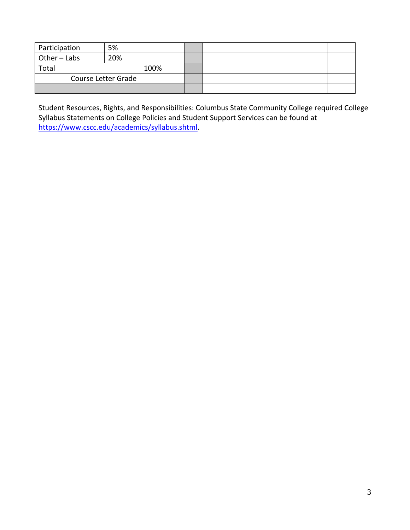| Participation       | 5%  |      |  |  |
|---------------------|-----|------|--|--|
| Other-Labs          | 20% |      |  |  |
| Total               |     | 100% |  |  |
| Course Letter Grade |     |      |  |  |
|                     |     |      |  |  |

Student Resources, Rights, and Responsibilities: Columbus State Community College required College Syllabus Statements on College Policies and Student Support Services can be found at [https://www.cscc.edu/academics/syllabus.shtml.](https://www.cscc.edu/academics/syllabus.shtml)